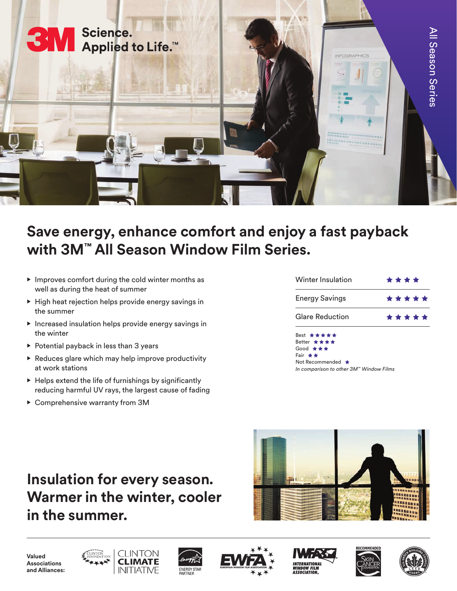

## **Save energy, enhance comfort and enjoy a fast payback with 3M™ All Season Window Film Series.**

- Improves comfort during the cold winter months as well as during the heat of summer
- High heat rejection helps provide energy savings in the summer
- Increased insulation helps provide energy savings in the winter
- Potential payback in less than 3 years
- $\triangleright$  Reduces glare which may help improve productivity at work stations
- Helps extend the life of furnishings by significantly reducing harmful UV rays, the largest cause of fading
- Comprehensive warranty from 3M

| Winter Insulation      | ****  |
|------------------------|-------|
| <b>Energy Savings</b>  | ***** |
| <b>Glare Reduction</b> | ***** |
|                        |       |

Best \*\*\*\*\* Better ★★★★ Good \*\* Fair **★★** Not Recommended \* *In comparison to other 3M™ Window Films*

## **Insulation for every season. Warmer in the winter, cooler in the summer.**



**Valued Associations and Alliances:**